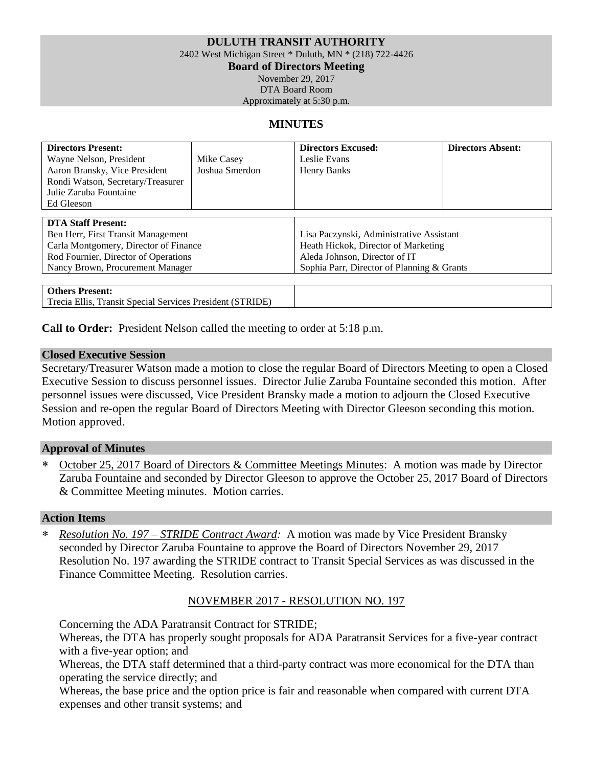### **DULUTH TRANSIT AUTHORITY**

2402 West Michigan Street \* Duluth, MN \* (218) 722-4426

**Board of Directors Meeting**

November 29, 2017 DTA Board Room

Approximately at 5:30 p.m.

### **MINUTES**

| <b>Directors Present:</b><br>Wayne Nelson, President<br>Aaron Bransky, Vice President<br>Rondi Watson, Secretary/Treasurer<br>Julie Zaruba Fountaine<br>Ed Gleeson                   | Mike Casey<br>Joshua Smerdon | <b>Directors Excused:</b><br>Leslie Evans<br>Henry Banks                                                                                                       | <b>Directors Absent:</b> |
|--------------------------------------------------------------------------------------------------------------------------------------------------------------------------------------|------------------------------|----------------------------------------------------------------------------------------------------------------------------------------------------------------|--------------------------|
| <b>DTA Staff Present:</b><br>Ben Herr, First Transit Management<br>Carla Montgomery, Director of Finance<br>Rod Fournier, Director of Operations<br>Nancy Brown, Procurement Manager |                              | Lisa Paczynski, Administrative Assistant<br>Heath Hickok, Director of Marketing<br>Aleda Johnson, Director of IT<br>Sophia Parr, Director of Planning & Grants |                          |
| <b>Others Present:</b>                                                                                                                                                               |                              |                                                                                                                                                                |                          |

Trecia Ellis, Transit Special Services President (STRIDE)

**Call to Order:** President Nelson called the meeting to order at 5:18 p.m.

### **Closed Executive Session**

Secretary/Treasurer Watson made a motion to close the regular Board of Directors Meeting to open a Closed Executive Session to discuss personnel issues. Director Julie Zaruba Fountaine seconded this motion. After personnel issues were discussed, Vice President Bransky made a motion to adjourn the Closed Executive Session and re-open the regular Board of Directors Meeting with Director Gleeson seconding this motion. Motion approved.

### **Approval of Minutes**

 October 25, 2017 Board of Directors & Committee Meetings Minutes: A motion was made by Director Zaruba Fountaine and seconded by Director Gleeson to approve the October 25, 2017 Board of Directors & Committee Meeting minutes. Motion carries.

#### **Action Items**

 *Resolution No. 197 – STRIDE Contract Award:* A motion was made by Vice President Bransky seconded by Director Zaruba Fountaine to approve the Board of Directors November 29, 2017 Resolution No. 197 awarding the STRIDE contract to Transit Special Services as was discussed in the Finance Committee Meeting. Resolution carries.

### NOVEMBER 2017 - RESOLUTION NO. 197

Concerning the ADA Paratransit Contract for STRIDE;

Whereas, the DTA has properly sought proposals for ADA Paratransit Services for a five-year contract with a five-year option; and

Whereas, the DTA staff determined that a third-party contract was more economical for the DTA than operating the service directly; and

Whereas, the base price and the option price is fair and reasonable when compared with current DTA expenses and other transit systems; and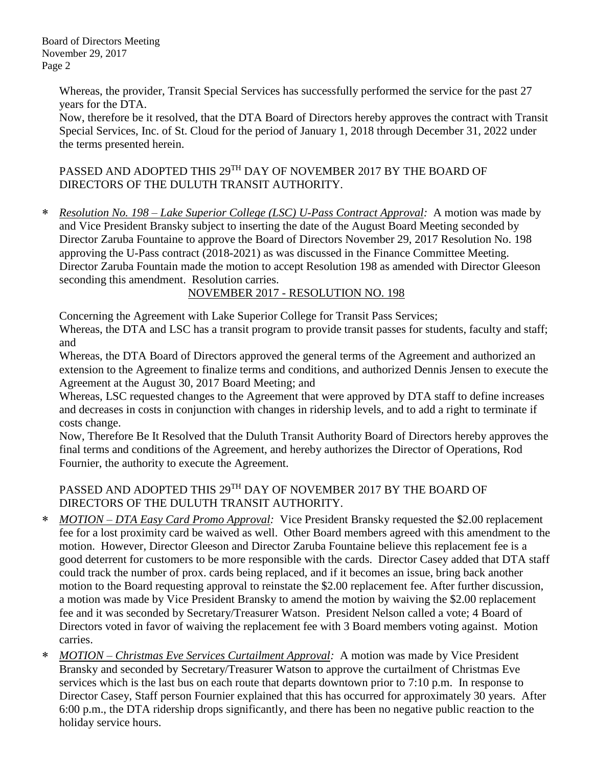Board of Directors Meeting November 29, 2017 Page 2

> Whereas, the provider, Transit Special Services has successfully performed the service for the past 27 years for the DTA.

Now, therefore be it resolved, that the DTA Board of Directors hereby approves the contract with Transit Special Services, Inc. of St. Cloud for the period of January 1, 2018 through December 31, 2022 under the terms presented herein.

PASSED AND ADOPTED THIS 29<sup>TH</sup> DAY OF NOVEMBER 2017 BY THE BOARD OF DIRECTORS OF THE DULUTH TRANSIT AUTHORITY.

 *Resolution No. 198 – Lake Superior College (LSC) U-Pass Contract Approval:* A motion was made by and Vice President Bransky subject to inserting the date of the August Board Meeting seconded by Director Zaruba Fountaine to approve the Board of Directors November 29, 2017 Resolution No. 198 approving the U-Pass contract (2018-2021) as was discussed in the Finance Committee Meeting. Director Zaruba Fountain made the motion to accept Resolution 198 as amended with Director Gleeson seconding this amendment. Resolution carries.

NOVEMBER 2017 - RESOLUTION NO. 198

Concerning the Agreement with Lake Superior College for Transit Pass Services;

Whereas, the DTA and LSC has a transit program to provide transit passes for students, faculty and staff; and

Whereas, the DTA Board of Directors approved the general terms of the Agreement and authorized an extension to the Agreement to finalize terms and conditions, and authorized Dennis Jensen to execute the Agreement at the August 30, 2017 Board Meeting; and

Whereas, LSC requested changes to the Agreement that were approved by DTA staff to define increases and decreases in costs in conjunction with changes in ridership levels, and to add a right to terminate if costs change.

Now, Therefore Be It Resolved that the Duluth Transit Authority Board of Directors hereby approves the final terms and conditions of the Agreement, and hereby authorizes the Director of Operations, Rod Fournier, the authority to execute the Agreement.

# PASSED AND ADOPTED THIS 29<sup>TH</sup> DAY OF NOVEMBER 2017 BY THE BOARD OF DIRECTORS OF THE DULUTH TRANSIT AUTHORITY.

- *MOTION – DTA Easy Card Promo Approval:* Vice President Bransky requested the \$2.00 replacement fee for a lost proximity card be waived as well. Other Board members agreed with this amendment to the motion. However, Director Gleeson and Director Zaruba Fountaine believe this replacement fee is a good deterrent for customers to be more responsible with the cards. Director Casey added that DTA staff could track the number of prox. cards being replaced, and if it becomes an issue, bring back another motion to the Board requesting approval to reinstate the \$2.00 replacement fee. After further discussion, a motion was made by Vice President Bransky to amend the motion by waiving the \$2.00 replacement fee and it was seconded by Secretary/Treasurer Watson. President Nelson called a vote; 4 Board of Directors voted in favor of waiving the replacement fee with 3 Board members voting against. Motion carries.
- *MOTION – Christmas Eve Services Curtailment Approval:* A motion was made by Vice President Bransky and seconded by Secretary/Treasurer Watson to approve the curtailment of Christmas Eve services which is the last bus on each route that departs downtown prior to 7:10 p.m. In response to Director Casey, Staff person Fournier explained that this has occurred for approximately 30 years. After 6:00 p.m., the DTA ridership drops significantly, and there has been no negative public reaction to the holiday service hours.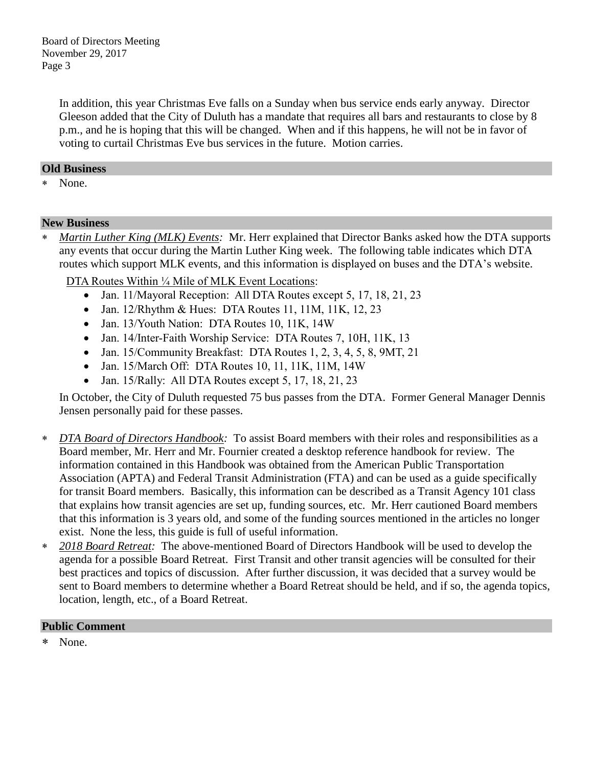In addition, this year Christmas Eve falls on a Sunday when bus service ends early anyway. Director Gleeson added that the City of Duluth has a mandate that requires all bars and restaurants to close by 8 p.m., and he is hoping that this will be changed. When and if this happens, he will not be in favor of voting to curtail Christmas Eve bus services in the future. Motion carries.

## **Old Business**

None.

## **New Business**

 *Martin Luther King (MLK) Events:* Mr. Herr explained that Director Banks asked how the DTA supports any events that occur during the Martin Luther King week. The following table indicates which DTA routes which support MLK events, and this information is displayed on buses and the DTA's website.

DTA Routes Within ¼ Mile of MLK Event Locations:

- Jan. 11/Mayoral Reception: All DTA Routes except 5, 17, 18, 21, 23
- Jan. 12/Rhythm & Hues: DTA Routes 11, 11M, 11K, 12, 23
- Jan. 13/Youth Nation: DTA Routes 10, 11K, 14W
- Jan. 14/Inter-Faith Worship Service: DTA Routes 7, 10H, 11K, 13
- Jan. 15/Community Breakfast: DTA Routes 1, 2, 3, 4, 5, 8, 9MT, 21
- Jan. 15/March Off: DTA Routes 10, 11, 11K, 11M, 14W
- Jan. 15/Rally: All DTA Routes except 5, 17, 18, 21, 23

In October, the City of Duluth requested 75 bus passes from the DTA. Former General Manager Dennis Jensen personally paid for these passes.

- *DTA Board of Directors Handbook:* To assist Board members with their roles and responsibilities as a Board member, Mr. Herr and Mr. Fournier created a desktop reference handbook for review. The information contained in this Handbook was obtained from the American Public Transportation Association (APTA) and Federal Transit Administration (FTA) and can be used as a guide specifically for transit Board members. Basically, this information can be described as a Transit Agency 101 class that explains how transit agencies are set up, funding sources, etc. Mr. Herr cautioned Board members that this information is 3 years old, and some of the funding sources mentioned in the articles no longer exist. None the less, this guide is full of useful information.
- *2018 Board Retreat:* The above-mentioned Board of Directors Handbook will be used to develop the agenda for a possible Board Retreat. First Transit and other transit agencies will be consulted for their best practices and topics of discussion. After further discussion, it was decided that a survey would be sent to Board members to determine whether a Board Retreat should be held, and if so, the agenda topics, location, length, etc., of a Board Retreat.

# **Public Comment**

None.